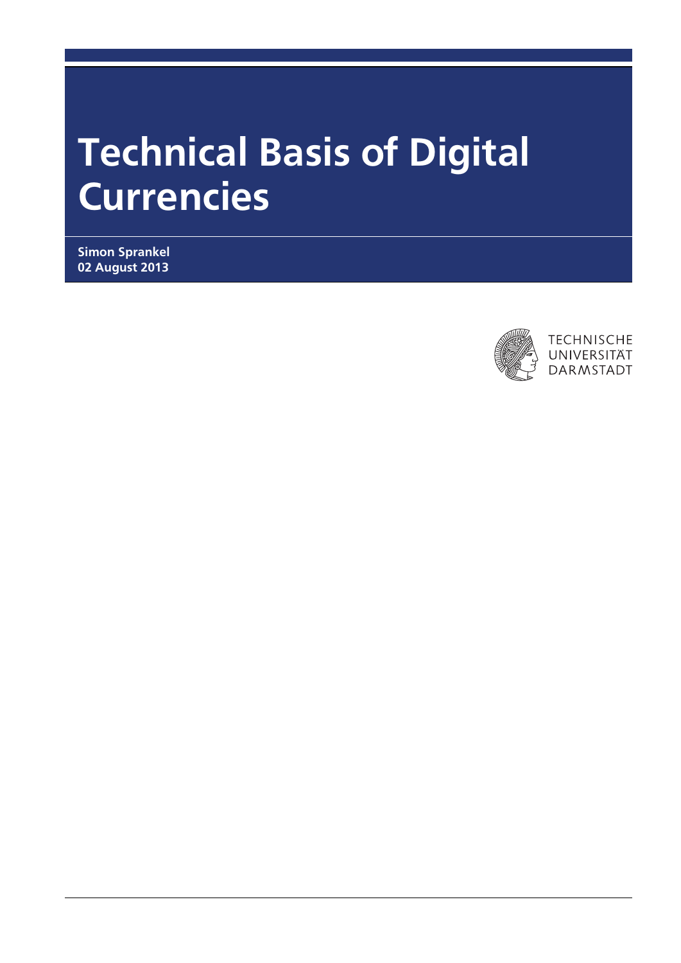# Technical Basis of Digital Currencies

Simon Sprankel 02 August 2013

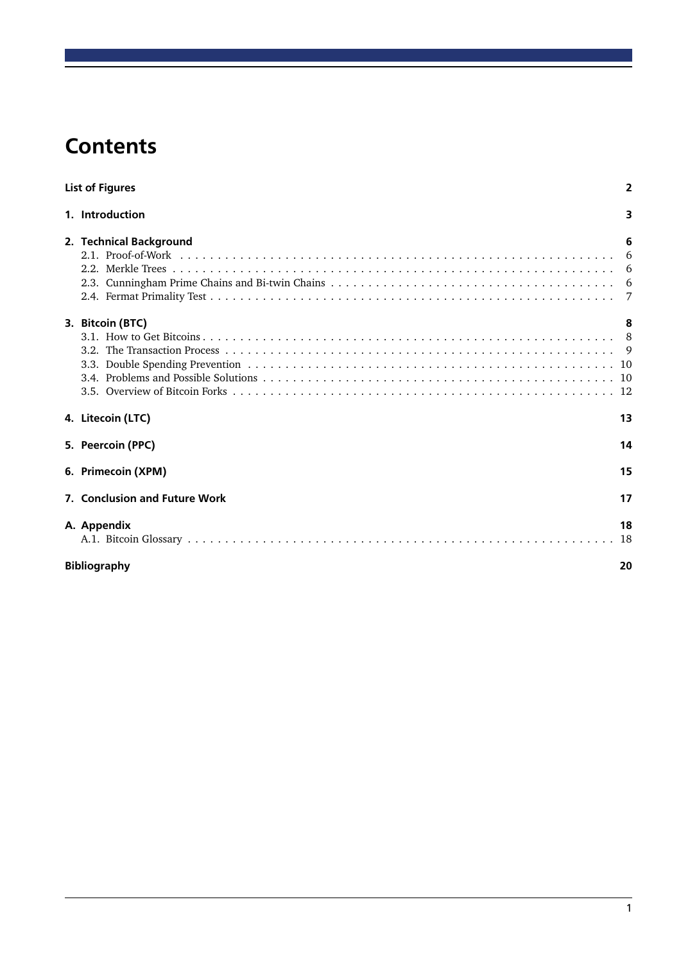# **Contents**

| <b>List of Figures</b>        |      |  |  |  |
|-------------------------------|------|--|--|--|
| 1. Introduction               | 3    |  |  |  |
| 2. Technical Background       | 6    |  |  |  |
|                               |      |  |  |  |
|                               |      |  |  |  |
|                               |      |  |  |  |
|                               |      |  |  |  |
| 3. Bitcoin (BTC)              | 8    |  |  |  |
|                               |      |  |  |  |
|                               |      |  |  |  |
|                               |      |  |  |  |
|                               |      |  |  |  |
|                               |      |  |  |  |
| 4. Litecoin (LTC)             | 13   |  |  |  |
| 5. Peercoin (PPC)             | 14   |  |  |  |
| 6. Primecoin (XPM)            | 15   |  |  |  |
| 7. Conclusion and Future Work | 17   |  |  |  |
| A. Appendix                   | 18   |  |  |  |
|                               | - 18 |  |  |  |
| <b>Bibliography</b>           | 20   |  |  |  |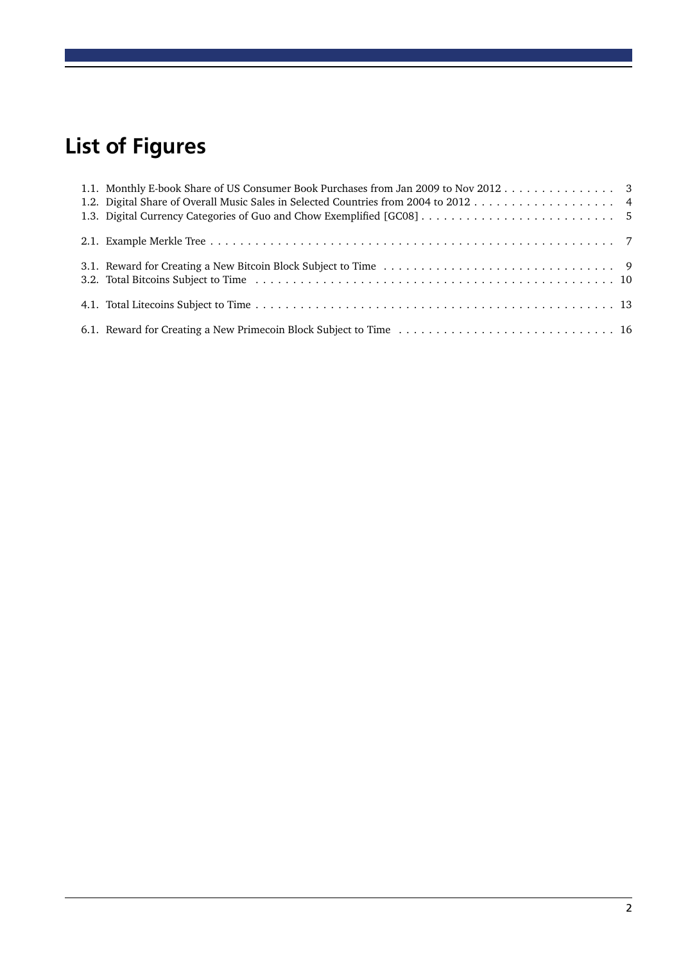# <span id="page-2-0"></span>List of Figures

| 1.1. Monthly E-book Share of US Consumer Book Purchases from Jan 2009 to Nov 2012 3 |  |
|-------------------------------------------------------------------------------------|--|
|                                                                                     |  |
|                                                                                     |  |
|                                                                                     |  |
|                                                                                     |  |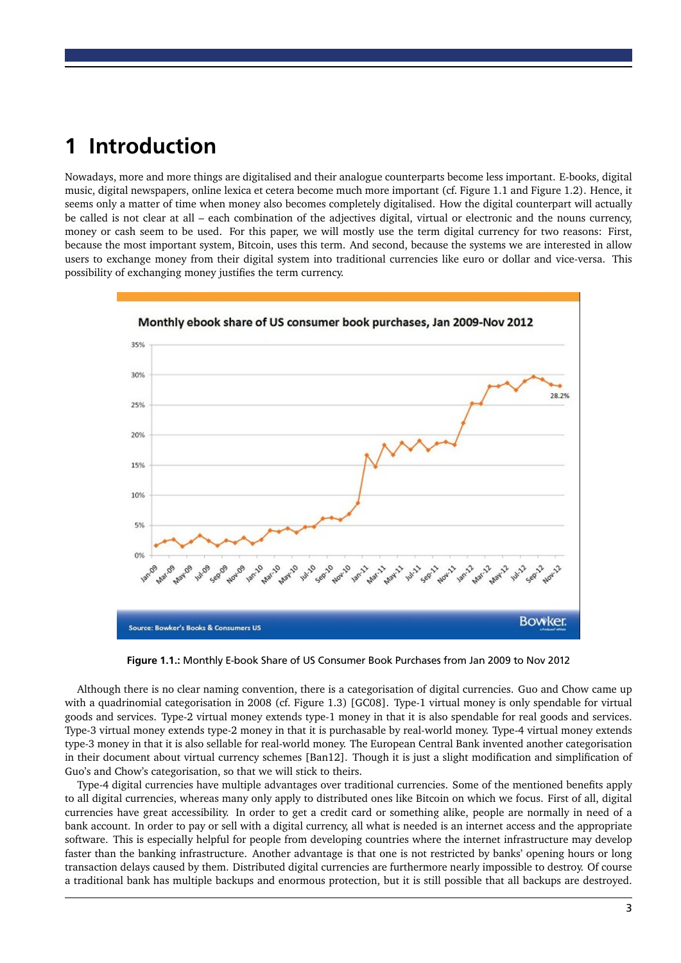# <span id="page-3-0"></span>1 Introduction

Nowadays, more and more things are digitalised and their analogue counterparts become less important. E-books, digital music, digital newspapers, online lexica et cetera become much more important (cf. Figure [1.1](#page-3-1) and Figure [1.2\)](#page-4-0). Hence, it seems only a matter of time when money also becomes completely digitalised. How the digital counterpart will actually be called is not clear at all – each combination of the adjectives digital, virtual or electronic and the nouns currency, money or cash seem to be used. For this paper, we will mostly use the term digital currency for two reasons: First, because the most important system, Bitcoin, uses this term. And second, because the systems we are interested in allow users to exchange money from their digital system into traditional currencies like euro or dollar and vice-versa. This possibility of exchanging money justifies the term currency.



<span id="page-3-1"></span>Figure 1.1.: Monthly E-book Share of US Consumer Book Purchases from Jan 2009 to Nov 2012

Although there is no clear naming convention, there is a categorisation of digital currencies. Guo and Chow came up with a quadrinomial categorisation in 2008 (cf. Figure [1.3\)](#page-5-0) [\[GC08\]](#page-20-1). Type-1 virtual money is only spendable for virtual goods and services. Type-2 virtual money extends type-1 money in that it is also spendable for real goods and services. Type-3 virtual money extends type-2 money in that it is purchasable by real-world money. Type-4 virtual money extends type-3 money in that it is also sellable for real-world money. The European Central Bank invented another categorisation in their document about virtual currency schemes [\[Ban12\]](#page-20-2). Though it is just a slight modification and simplification of Guo's and Chow's categorisation, so that we will stick to theirs.

Type-4 digital currencies have multiple advantages over traditional currencies. Some of the mentioned benefits apply to all digital currencies, whereas many only apply to distributed ones like Bitcoin on which we focus. First of all, digital currencies have great accessibility. In order to get a credit card or something alike, people are normally in need of a bank account. In order to pay or sell with a digital currency, all what is needed is an internet access and the appropriate software. This is especially helpful for people from developing countries where the internet infrastructure may develop faster than the banking infrastructure. Another advantage is that one is not restricted by banks' opening hours or long transaction delays caused by them. Distributed digital currencies are furthermore nearly impossible to destroy. Of course a traditional bank has multiple backups and enormous protection, but it is still possible that all backups are destroyed.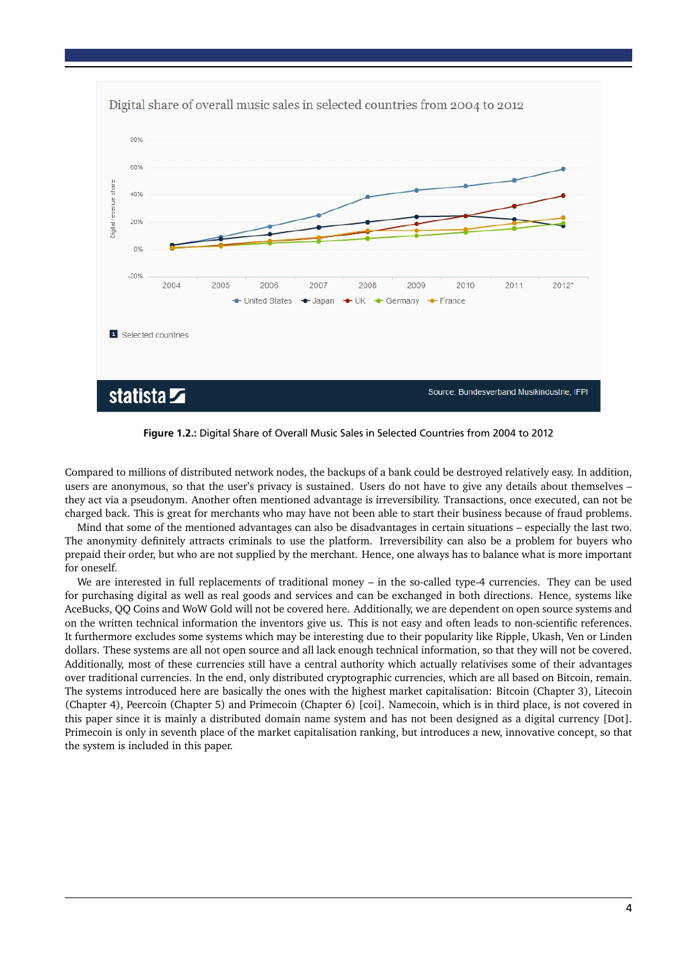

<span id="page-4-0"></span>Figure 1.2.: Digital Share of Overall Music Sales in Selected Countries from 2004 to 2012

Compared to millions of distributed network nodes, the backups of a bank could be destroyed relatively easy. In addition, users are anonymous, so that the user's privacy is sustained. Users do not have to give any details about themselves – they act via a pseudonym. Another often mentioned advantage is irreversibility. [Transactions,](#page-19-0) once executed, can not be charged back. This is great for merchants who may have not been able to start their business because of fraud problems.

Mind that some of the mentioned advantages can also be disadvantages in certain situations – especially the last two. The anonymity definitely attracts criminals to use the platform. Irreversibility can also be a problem for buyers who prepaid their order, but who are not supplied by the merchant. Hence, one always has to balance what is more important for oneself.

We are interested in full replacements of traditional money – in the so-called type-4 currencies. They can be used for purchasing digital as well as real goods and services and can be exchanged in both directions. Hence, systems like AceBucks, QQ Coins and WoW Gold will not be covered here. Additionally, we are dependent on open source systems and on the written technical information the inventors give us. This is not easy and often leads to non-scientific references. It furthermore excludes some systems which may be interesting due to their popularity like Ripple, Ukash, Ven or Linden dollars. These systems are all not open source and all lack enough technical information, so that they will not be covered. Additionally, most of these currencies still have a central authority which actually relativises some of their advantages over traditional currencies. In the end, only distributed cryptographic currencies, which are all based on Bitcoin, remain. The systems introduced here are basically the ones with the highest market capitalisation: Bitcoin (Chapter [3\)](#page-8-0), Litecoin (Chapter [4\)](#page-13-0), Peercoin (Chapter [5\)](#page-14-0) and Primecoin (Chapter [6\)](#page-15-0) [\[coi\]](#page-20-3). Namecoin, which is in third place, is not covered in this paper since it is mainly a distributed domain name system and has not been designed as a digital currency [\[Dot\]](#page-20-4). Primecoin is only in seventh place of the market capitalisation ranking, but introduces a new, innovative concept, so that the system is included in this paper.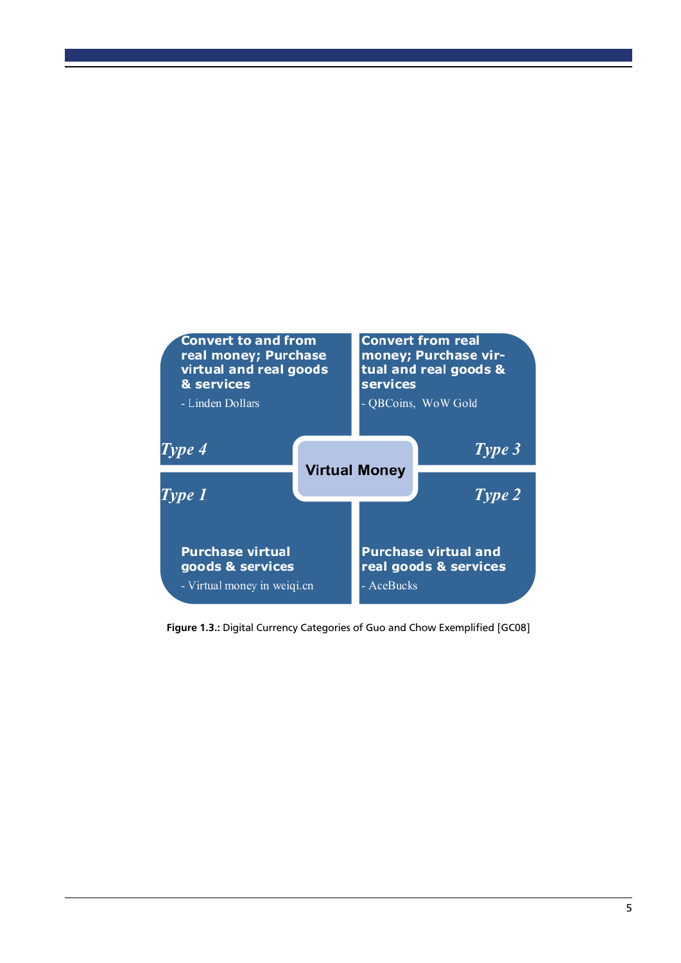

<span id="page-5-0"></span>Figure 1.3.: Digital Currency Categories of Guo and Chow Exemplified [\[GC08\]](#page-20-1)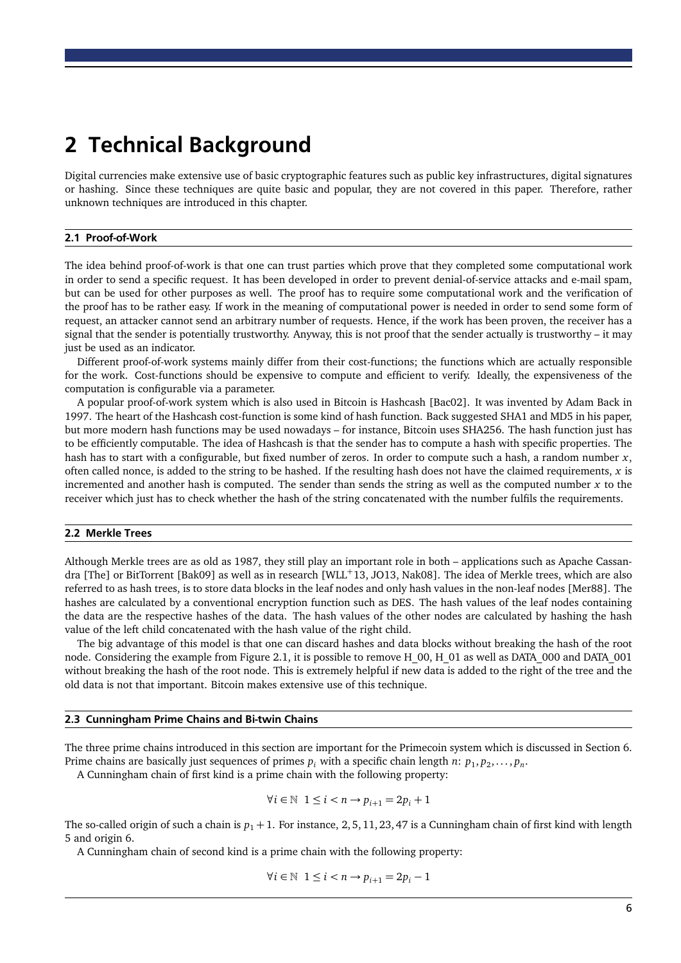### <span id="page-6-0"></span>2 Technical Background

Digital currencies make extensive use of basic cryptographic features such as public key infrastructures, digital signatures or hashing. Since these techniques are quite basic and popular, they are not covered in this paper. Therefore, rather unknown techniques are introduced in this chapter.

#### <span id="page-6-1"></span>2.1 Proof-of-Work

The idea behind [proof-of-work](#page-19-1) is that one can trust parties which prove that they completed some computational work in order to send a specific request. It has been developed in order to prevent denial-of-service attacks and e-mail spam, but can be used for other purposes as well. The proof has to require some computational work and the verification of the proof has to be rather easy. If work in the meaning of computational power is needed in order to send some form of request, an attacker cannot send an arbitrary number of requests. Hence, if the work has been proven, the receiver has a signal that the sender is potentially trustworthy. Anyway, this is not proof that the sender actually is trustworthy – it may just be used as an indicator.

Different [proof-of-work](#page-19-1) systems mainly differ from their cost-functions; the functions which are actually responsible for the work. Cost-functions should be expensive to compute and efficient to verify. Ideally, the expensiveness of the computation is configurable via a parameter.

A popular [proof-of-work](#page-19-1) system which is also used in Bitcoin is Hashcash [\[Bac02\]](#page-20-5). It was invented by Adam Back in 1997. The heart of the Hashcash cost-function is some kind of hash function. Back suggested SHA1 and MD5 in his paper, but more modern hash functions may be used nowadays – for instance, Bitcoin uses SHA256. The hash function just has to be efficiently computable. The idea of Hashcash is that the sender has to compute a hash with specific properties. The hash has to start with a configurable, but fixed number of zeros. In order to compute such a hash, a random number *x*, often called [nonce,](#page-18-2) is added to the string to be hashed. If the resulting hash does not have the claimed requirements, *x* is incremented and another hash is computed. The sender than sends the string as well as the computed number *x* to the receiver which just has to check whether the hash of the string concatenated with the number fulfils the requirements.

#### <span id="page-6-2"></span>2.2 Merkle Trees

Although Merkle trees are as old as 1987, they still play an important role in both – applications such as Apache Cassan-dra [\[The\]](#page-21-0) or BitTorrent [\[Bak09\]](#page-20-6) as well as in research [\[WLL](#page-21-1)+13, [JO13,](#page-20-7) [Nak08\]](#page-20-8). The idea of Merkle trees, which are also referred to as hash trees, is to store data blocks in the leaf nodes and only hash values in the non-leaf nodes [\[Mer88\]](#page-20-9). The hashes are calculated by a conventional encryption function such as DES. The hash values of the leaf nodes containing the data are the respective hashes of the data. The hash values of the other nodes are calculated by hashing the hash value of the left child concatenated with the hash value of the right child.

The big advantage of this model is that one can discard hashes and data blocks without breaking the hash of the root node. Considering the example from Figure [2.1,](#page-7-1) it is possible to remove H\_00, H\_01 as well as DATA\_000 and DATA\_001 without breaking the hash of the root node. This is extremely helpful if new data is added to the right of the tree and the old data is not that important. Bitcoin makes extensive use of this technique.

#### <span id="page-6-3"></span>2.3 Cunningham Prime Chains and Bi-twin Chains

The three prime chains introduced in this section are important for the Primecoin system which is discussed in Section [6.](#page-15-0) Prime chains are basically just sequences of primes  $p_i$  with a specific chain length  $n: p_1, p_2, \ldots, p_n$ .

A Cunningham chain of first kind is a prime chain with the following property:

$$
\forall i \in \mathbb{N} \ \ 1 \leq i < n \rightarrow p_{i+1} = 2p_i + 1
$$

The so-called origin of such a chain is  $p_1 + 1$ . For instance, 2, 5, 11, 23, 47 is a Cunningham chain of first kind with length 5 and origin 6.

A Cunningham chain of second kind is a prime chain with the following property:

$$
\forall i \in \mathbb{N} \;\; 1 \leq i < n \rightarrow p_{i+1} = 2p_i - 1
$$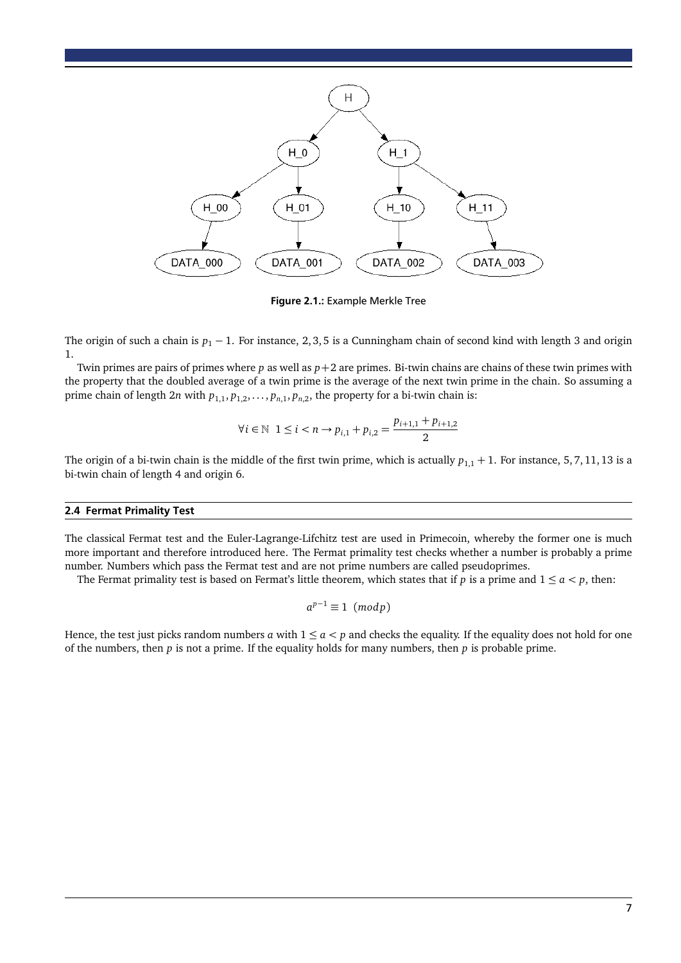

<span id="page-7-1"></span>Figure 2.1.: Example Merkle Tree

The origin of such a chain is  $p_1 - 1$ . For instance, 2, 3, 5 is a Cunningham chain of second kind with length 3 and origin 1.

Twin primes are pairs of primes where *p* as well as *p*+2 are primes. Bi-twin chains are chains of these twin primes with the property that the doubled average of a twin prime is the average of the next twin prime in the chain. So assuming a prime chain of length  $2n$  with  $p_{1,1}, p_{1,2}, \ldots, p_{n,1}, p_{n,2}$ , the property for a bi-twin chain is:

$$
\forall i \in \mathbb{N} \ 1 \leq i < n \to p_{i,1} + p_{i,2} = \frac{p_{i+1,1} + p_{i+1,2}}{2}
$$

The origin of a bi-twin chain is the middle of the first twin prime, which is actually  $p_{1,1} + 1$ . For instance, 5, 7, 11, 13 is a bi-twin chain of length 4 and origin 6.

#### <span id="page-7-0"></span>2.4 Fermat Primality Test

The classical Fermat test and the Euler-Lagrange-Lifchitz test are used in Primecoin, whereby the former one is much more important and therefore introduced here. The Fermat primality test checks whether a number is probably a prime number. Numbers which pass the Fermat test and are not prime numbers are called pseudoprimes.

The Fermat primality test is based on Fermat's little theorem, which states that if  $p$  is a prime and  $1 \le a < p$ , then:

$$
a^{p-1}\equiv 1\ (mod\,)
$$

Hence, the test just picks random numbers *a* with  $1 \le a < p$  and checks the equality. If the equality does not hold for one of the numbers, then *p* is not a prime. If the equality holds for many numbers, then *p* is probable prime.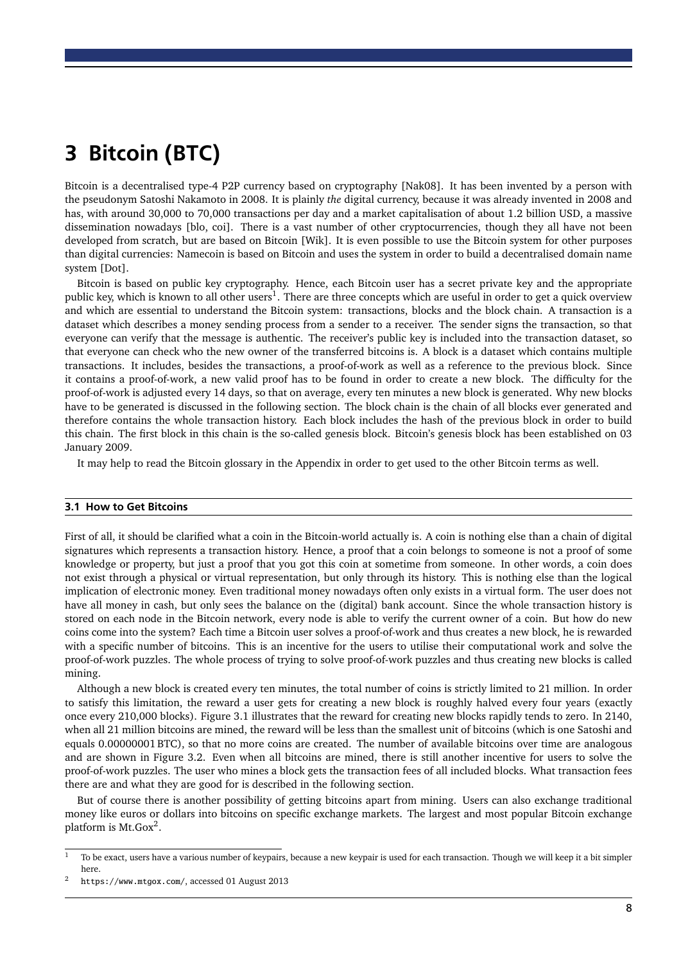# <span id="page-8-0"></span>3 Bitcoin (BTC)

Bitcoin is a decentralised type-4 P2P currency based on cryptography [\[Nak08\]](#page-20-8). It has been invented by a person with the pseudonym Satoshi Nakamoto in 2008. It is plainly *the* digital currency, because it was already invented in 2008 and has, with around 30,000 to 70,000 [transactions](#page-19-0) per day and a market capitalisation of about 1.2 billion USD, a massive dissemination nowadays [\[blo,](#page-20-10) [coi\]](#page-20-3). There is a vast number of other cryptocurrencies, though they all have not been developed from scratch, but are based on Bitcoin [\[Wik\]](#page-21-2). It is even possible to use the Bitcoin system for other purposes than digital currencies: Namecoin is based on Bitcoin and uses the system in order to build a decentralised domain name system [\[Dot\]](#page-20-4).

Bitcoin is based on public key cryptography. Hence, each Bitcoin user has a secret private key and the appropriate public key, which is known to all other users<sup>[1](#page-8-2)</sup>. There are three concepts which are useful in order to get a quick overview and which are essential to understand the Bitcoin system: [transactions,](#page-19-0) [blocks](#page-18-3) and the [block chain.](#page-18-4) A [transaction](#page-19-0) is a dataset which describes a money sending process from a sender to a receiver. The sender signs the [transaction,](#page-19-0) so that everyone can verify that the message is authentic. The receiver's public key is included into the [transaction](#page-19-0) dataset, so that everyone can check who the new owner of the transferred bitcoins is. A [block](#page-18-3) is a dataset which contains multiple [transactions.](#page-19-0) It includes, besides the [transactions,](#page-19-0) a [proof-of-work](#page-19-1) as well as a reference to the previous [block.](#page-18-3) Since it contains a [proof-of-work,](#page-19-1) a new valid proof has to be found in order to create a new [block.](#page-18-3) The [difficulty](#page-18-5) for the [proof-of-work](#page-19-1) is adjusted every 14 days, so that on average, every ten minutes a new [block](#page-18-3) is generated. Why new [blocks](#page-18-3) have to be generated is discussed in the following section. The [block chain](#page-18-4) is the chain of all [blocks](#page-18-3) ever generated and therefore contains the whole [transaction](#page-19-0) history. Each [block](#page-18-3) includes the hash of the previous [block](#page-18-3) in order to build this chain. The first [block](#page-18-3) in this chain is the so-called [genesis block.](#page-18-6) Bitcoin's [genesis block](#page-18-6) has been established on 03 January 2009.

<span id="page-8-1"></span>It may help to read the Bitcoin glossary in the [Appendix](#page-18-0) in order to get used to the other Bitcoin terms as well.

#### 3.1 How to Get Bitcoins

First of all, it should be clarified what a [coin](#page-18-7) in the Bitcoin-world actually is. A [coin](#page-18-7) is nothing else than a chain of digital signatures which represents a [transaction](#page-19-0) history. Hence, a proof that a [coin](#page-18-7) belongs to someone is not a proof of some knowledge or property, but just a proof that you got this [coin](#page-18-7) at sometime from someone. In other words, a [coin](#page-18-7) does not exist through a physical or virtual representation, but only through its history. This is nothing else than the logical implication of electronic money. Even traditional money nowadays often only exists in a virtual form. The user does not have all money in cash, but only sees the balance on the (digital) bank account. Since the whole [transaction](#page-19-0) history is stored on each node in the Bitcoin network, every node is able to verify the current owner of a [coin.](#page-18-7) But how do new [coins](#page-18-7) come into the system? Each time a Bitcoin user solves a [proof-of-work](#page-19-1) and thus creates a new [block,](#page-18-3) he is rewarded with a specific number of bitcoins. This is an incentive for the users to utilise their computational work and solve the [proof-of-work](#page-19-1) puzzles. The whole process of trying to solve [proof-of-work](#page-19-1) puzzles and thus creating new [blocks](#page-18-3) is called [mining.](#page-18-8)

Although a new [block](#page-18-3) is created every ten minutes, the total number of [coins](#page-18-7) is strictly limited to 21 million. In order to satisfy this limitation, the reward a user gets for creating a new [block](#page-18-3) is roughly halved every four years (exactly once every 210,000 [blocks\)](#page-18-3). Figure [3.1](#page-9-2) illustrates that the reward for creating new [blocks](#page-18-3) rapidly tends to zero. In 2140, when all 21 million bitcoins are mined, the reward will be less than the smallest unit of bitcoins (which is one [Satoshi](#page-19-2) and equals 0.00000001 BTC), so that no more [coins](#page-18-7) are created. The number of available bitcoins over time are analogous and are shown in Figure [3.2.](#page-10-1) Even when all bitcoins are mined, there is still another incentive for users to solve the [proof-of-work](#page-19-1) puzzles. The user who mines a [block](#page-18-3) gets the [transaction fees](#page-19-3) of all included [blocks.](#page-18-3) What [transaction fees](#page-19-3) there are and what they are good for is described in the following section.

But of course there is another possibility of getting bitcoins apart from [mining.](#page-18-8) Users can also exchange traditional money like euros or dollars into bitcoins on specific exchange markets. The largest and most popular Bitcoin exchange platform is [Mt.Gox](https://www.mtgox.com/) $^2$  $^2$ .

<span id="page-8-2"></span> $1$  To be exact, users have a various number of keypairs, because a new keypair is used for each transaction. Though we will keep it a bit simpler here.

<span id="page-8-3"></span><sup>2</sup> <https://www.mtgox.com/>, accessed 01 August 2013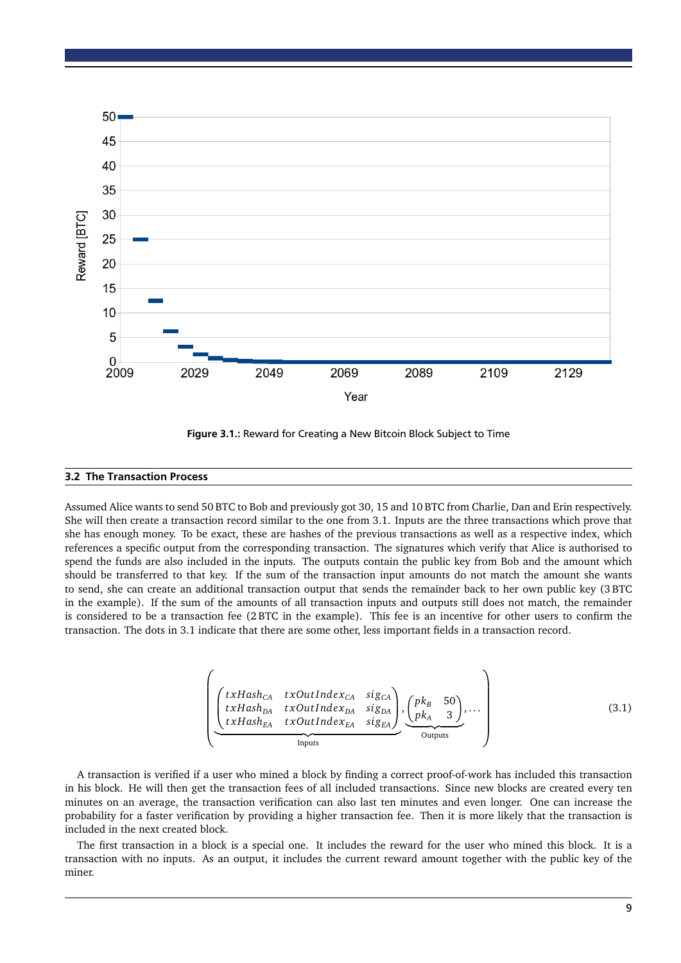

<span id="page-9-2"></span>Figure 3.1.: Reward for Creating a New Bitcoin Block Subject to Time

#### <span id="page-9-0"></span>3.2 The Transaction Process

Assumed Alice wants to send 50 BTC to Bob and previously got 30, 15 and 10 BTC from Charlie, Dan and Erin respectively. She will then create a [transaction](#page-19-0) record similar to the one from [3.1.](#page-9-3) Inputs are the three [transactions](#page-19-0) which prove that she has enough money. To be exact, these are hashes of the previous [transactions](#page-19-0) as well as a respective index, which references a specific output from the corresponding [transaction.](#page-19-0) The signatures which verify that Alice is authorised to spend the funds are also included in the inputs. The outputs contain the public key from Bob and the amount which should be transferred to that key. If the sum of the [transaction](#page-19-0) input amounts do not match the amount she wants to send, she can create an additional [transaction](#page-19-0) output that sends the remainder back to her own public key (3 BTC in the example). If the sum of the amounts of all [transaction](#page-19-0) inputs and outputs still does not match, the remainder is considered to be a [transaction fee](#page-19-3) (2 BTC in the example). This fee is an incentive for other users to confirm the [transaction.](#page-19-0) The dots in [3.1](#page-9-3) indicate that there are some other, less important fields in a [transaction](#page-19-0) record.

<span id="page-9-3"></span>
$$
\left(\begin{array}{ccc}\n\left(\begin{array}{ccc}\ntxHash_{CA} & txOutIndex_{CA} & sig_{CA} \\
txHash_{DA} & txOutIndex_{DA} & sig_{DA} \\
txHash_{EA} & txOutIndex_{EA} & sig_{EA}\n\end{array}\right),\n\left(\begin{array}{cc}\npk_B & 50 \\
pk_A & 3\n\end{array}\right),\n\ldots \\
\text{inputs}\n\end{array}\right) (3.1)
$$

A [transaction](#page-19-0) is verified if a user who mined a [block](#page-18-3) by finding a correct [proof-of-work](#page-19-1) has included this [transaction](#page-19-0) in his [block.](#page-18-3) He will then get the [transaction fees](#page-19-3) of all included [transactions.](#page-19-0) Since new [blocks](#page-18-3) are created every ten minutes on an average, the [transaction](#page-19-0) verification can also last ten minutes and even longer. One can increase the probability for a faster verification by providing a higher [transaction fee.](#page-19-3) Then it is more likely that the [transaction](#page-19-0) is included in the next created [block.](#page-18-3)

<span id="page-9-1"></span>The first [transaction](#page-19-0) in a [block](#page-18-3) is a special one. It includes the reward for the user who mined this [block.](#page-18-3) It is a [transaction](#page-19-0) with no inputs. As an output, it includes the current reward amount together with the public key of the miner.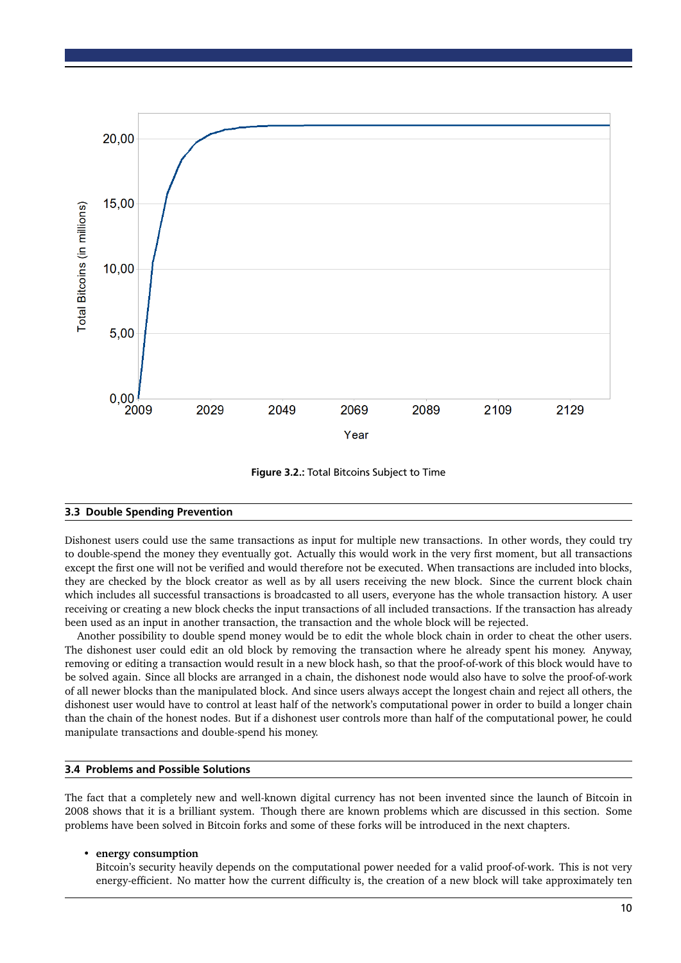

<span id="page-10-1"></span>Figure 3.2.: Total Bitcoins Subject to Time

#### 3.3 Double Spending Prevention

Dishonest users could use the same [transactions](#page-19-0) as input for multiple new [transactions.](#page-19-0) In other words, they could try to double-spend the money they eventually got. Actually this would work in the very first moment, but all [transactions](#page-19-0) except the first one will not be verified and would therefore not be executed. When [transactions](#page-19-0) are included into [blocks,](#page-18-3) they are checked by the block creator as well as by all users receiving the new [block.](#page-18-3) Since the current [block chain](#page-18-4) which includes all successful [transactions](#page-19-0) is broadcasted to all users, everyone has the whole transaction history. A user receiving or creating a new [block](#page-18-3) checks the input [transactions](#page-19-0) of all included [transactions.](#page-19-0) If the [transaction](#page-19-0) has already been used as an input in another [transaction,](#page-19-0) the [transaction](#page-19-0) and the whole [block](#page-18-3) will be rejected.

Another possibility to double spend money would be to edit the whole [block chain](#page-18-4) in order to cheat the other users. The dishonest user could edit an old [block](#page-18-3) by removing the [transaction](#page-19-0) where he already spent his money. Anyway, removing or editing a [transaction](#page-19-0) would result in a new block hash, so that the [proof-of-work](#page-19-1) of this [block](#page-18-3) would have to be solved again. Since all [blocks](#page-18-3) are arranged in a chain, the dishonest node would also have to solve the [proof-of-work](#page-19-1) of all newer [blocks](#page-18-3) than the manipulated [block.](#page-18-3) And since users always accept the [longest chain](#page-18-9) and reject all others, the dishonest user would have to control at least half of the network's computational power in order to build a longer chain than the chain of the honest nodes. But if a dishonest user controls more than half of the computational power, he could manipulate [transactions](#page-19-0) and double-spend his money.

#### <span id="page-10-0"></span>3.4 Problems and Possible Solutions

The fact that a completely new and well-known digital currency has not been invented since the launch of Bitcoin in 2008 shows that it is a brilliant system. Though there are known problems which are discussed in this section. Some problems have been solved in Bitcoin forks and some of these forks will be introduced in the next chapters.

#### • **energy consumption**

Bitcoin's security heavily depends on the computational power needed for a valid [proof-of-work.](#page-19-1) This is not very energy-efficient. No matter how the current [difficulty](#page-18-5) is, the creation of a new [block](#page-18-3) will take approximately ten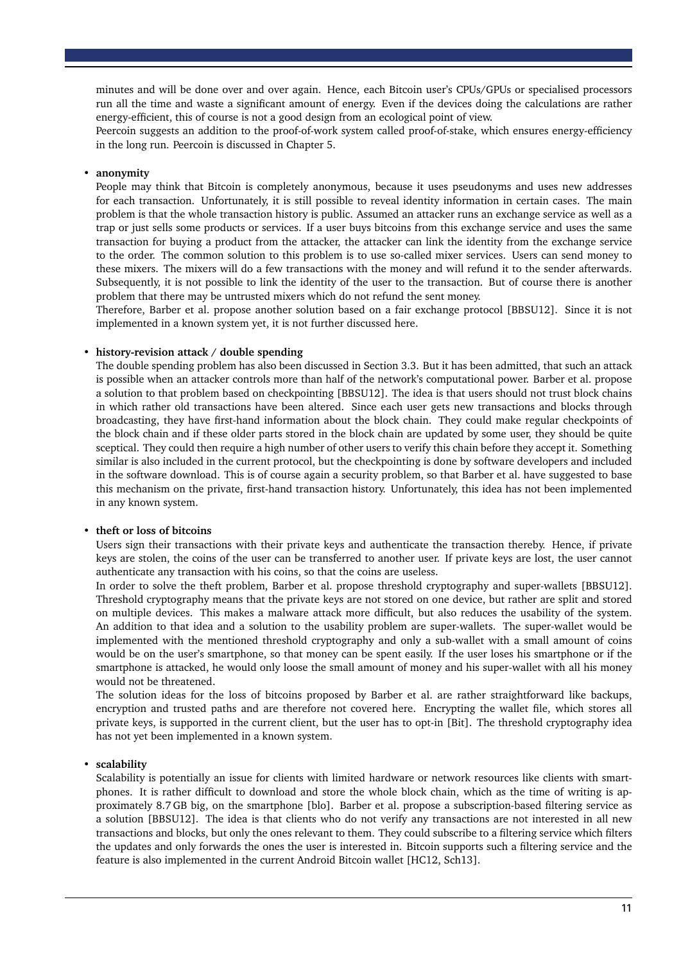minutes and will be done over and over again. Hence, each Bitcoin user's CPUs/GPUs or specialised processors run all the time and waste a significant amount of energy. Even if the devices doing the calculations are rather energy-efficient, this of course is not a good design from an ecological point of view.

Peercoin suggests an addition to the [proof-of-work](#page-19-1) system called proof-of-stake, which ensures energy-efficiency in the long run. Peercoin is discussed in Chapter [5.](#page-14-0)

#### • **anonymity**

People may think that Bitcoin is completely anonymous, because it uses pseudonyms and uses new addresses for each [transaction.](#page-19-0) Unfortunately, it is still possible to reveal identity information in certain cases. The main problem is that the whole transaction history is public. Assumed an attacker runs an exchange service as well as a trap or just sells some products or services. If a user buys bitcoins from this exchange service and uses the same [transaction](#page-19-0) for buying a product from the attacker, the attacker can link the identity from the exchange service to the order. The common solution to this problem is to use so-called mixer services. Users can send money to these mixers. The mixers will do a few [transactions](#page-19-0) with the money and will refund it to the sender afterwards. Subsequently, it is not possible to link the identity of the user to the [transaction.](#page-19-0) But of course there is another problem that there may be untrusted mixers which do not refund the sent money.

Therefore, Barber et al. propose another solution based on a fair exchange protocol [\[BBSU12\]](#page-20-11). Since it is not implemented in a known system yet, it is not further discussed here.

#### • **history-revision attack / [double spending](#page-18-10)**

The [double spending](#page-18-10) problem has also been discussed in Section [3.3.](#page-9-1) But it has been admitted, that such an attack is possible when an attacker controls more than half of the network's computational power. Barber et al. propose a solution to that problem based on checkpointing [\[BBSU12\]](#page-20-11). The idea is that users should not trust [block chains](#page-18-4) in which rather old [transactions](#page-19-0) have been altered. Since each user gets new [transactions](#page-19-0) and [blocks](#page-18-3) through broadcasting, they have first-hand information about the [block chain.](#page-18-4) They could make regular checkpoints of the [block chain](#page-18-4) and if these older parts stored in the [block chain](#page-18-4) are updated by some user, they should be quite sceptical. They could then require a high number of other users to verify this chain before they accept it. Something similar is also included in the current protocol, but the checkpointing is done by software developers and included in the software download. This is of course again a security problem, so that Barber et al. have suggested to base this mechanism on the private, first-hand transaction history. Unfortunately, this idea has not been implemented in any known system.

#### • **theft or loss of bitcoins**

Users sign their [transactions](#page-19-0) with their private keys and authenticate the [transaction](#page-19-0) thereby. Hence, if private keys are stolen, the [coins](#page-18-7) of the user can be transferred to another user. If private keys are lost, the user cannot authenticate any [transaction](#page-19-0) with his [coins,](#page-18-7) so that the [coins](#page-18-7) are useless.

In order to solve the theft problem, Barber et al. propose threshold cryptography and super-wallets [\[BBSU12\]](#page-20-11). Threshold cryptography means that the private keys are not stored on one device, but rather are split and stored on multiple devices. This makes a malware attack more difficult, but also reduces the usability of the system. An addition to that idea and a solution to the usability problem are super-wallets. The super-wallet would be implemented with the mentioned threshold cryptography and only a sub-wallet with a small amount of [coins](#page-18-7) would be on the user's smartphone, so that money can be spent easily. If the user loses his smartphone or if the smartphone is attacked, he would only loose the small amount of money and his super-wallet with all his money would not be threatened.

The solution ideas for the loss of bitcoins proposed by Barber et al. are rather straightforward like backups, encryption and trusted paths and are therefore not covered here. Encrypting the wallet file, which stores all private keys, is supported in the current client, but the user has to opt-in [\[Bit\]](#page-20-12). The threshold cryptography idea has not yet been implemented in a known system.

#### • **scalability**

<span id="page-11-0"></span>Scalability is potentially an issue for clients with limited hardware or network resources like clients with smartphones. It is rather difficult to download and store the whole [block chain,](#page-18-4) which as the time of writing is approximately 8.7 GB big, on the smartphone [\[blo\]](#page-20-10). Barber et al. propose a subscription-based filtering service as a solution [\[BBSU12\]](#page-20-11). The idea is that clients who do not verify any [transactions](#page-19-0) are not interested in all new [transactions](#page-19-0) and [blocks,](#page-18-3) but only the ones relevant to them. They could subscribe to a filtering service which filters the updates and only forwards the ones the user is interested in. Bitcoin supports such a filtering service and the feature is also implemented in the current Android Bitcoin wallet [\[HC12,](#page-20-13) [Sch13\]](#page-21-3).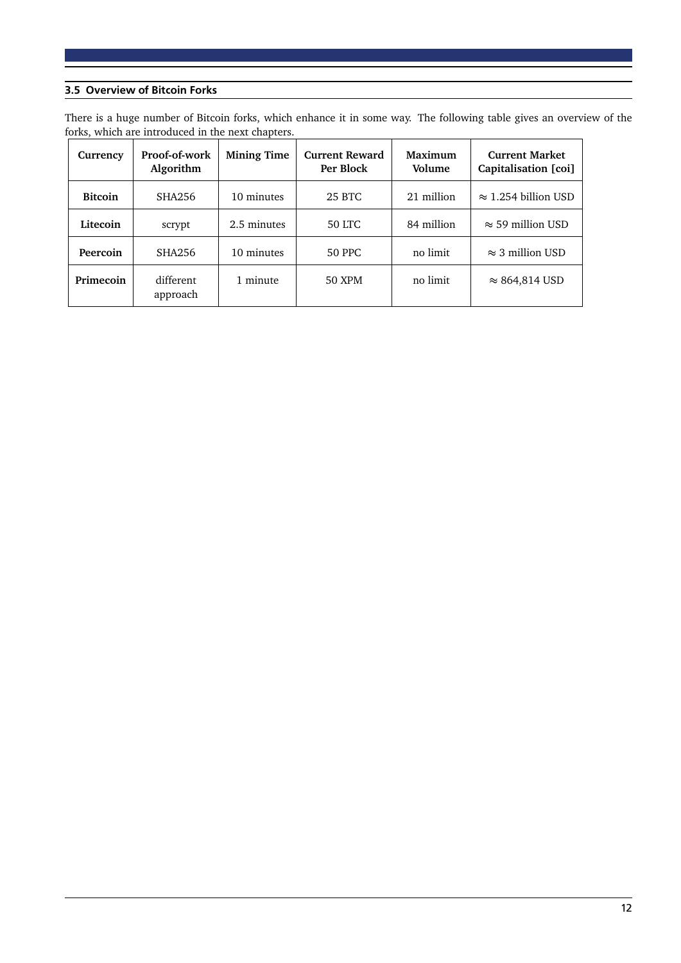#### 3.5 Overview of Bitcoin Forks

There is a huge number of Bitcoin forks, which enhance it in some way. The following table gives an overview of the forks, which are introduced in the next chapters.

| Currency       | Proof-of-work<br>Algorithm | <b>Mining Time</b> | <b>Current Reward</b><br>Per Block | Maximum<br>Volume | <b>Current Market</b><br>Capitalisation [coi] |
|----------------|----------------------------|--------------------|------------------------------------|-------------------|-----------------------------------------------|
| <b>Bitcoin</b> | SHA256                     | 10 minutes         | 25 BTC                             | 21 million        | $\approx$ 1.254 billion USD                   |
| Litecoin       | scrypt                     | 2.5 minutes        | 50 LTC                             | 84 million        | $\approx$ 59 million USD                      |
| Peercoin       | SHA256                     | 10 minutes         | <b>50 PPC</b>                      | no limit          | $\approx$ 3 million USD                       |
| Primecoin      | different<br>approach      | 1 minute           | 50 XPM                             | no limit          | $\approx$ 864,814 USD                         |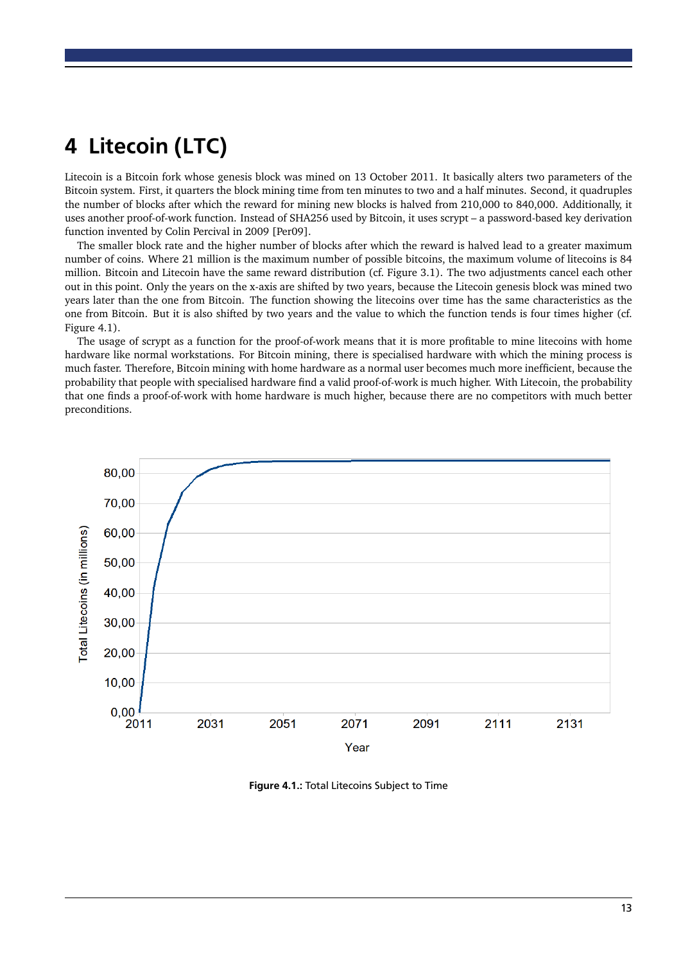# <span id="page-13-0"></span>4 Litecoin (LTC)

Litecoin is a Bitcoin fork whose [genesis block](#page-18-6) was mined on 13 October 2011. It basically alters two parameters of the Bitcoin system. First, it quarters the block mining time from ten minutes to two and a half minutes. Second, it quadruples the number of blocks after which the reward for [mining](#page-18-8) new [blocks](#page-18-3) is halved from 210,000 to 840,000. Additionally, it uses another [proof-of-work](#page-19-1) function. Instead of SHA256 used by Bitcoin, it uses scrypt – a password-based key derivation function invented by Colin Percival in 2009 [\[Per09\]](#page-20-14).

The smaller block rate and the higher number of [blocks](#page-18-3) after which the reward is halved lead to a greater maximum number of [coins.](#page-18-7) Where 21 million is the maximum number of possible bitcoins, the maximum volume of litecoins is 84 million. Bitcoin and Litecoin have the same reward distribution (cf. Figure [3.1\)](#page-9-2). The two adjustments cancel each other out in this point. Only the years on the x-axis are shifted by two years, because the Litecoin [genesis block](#page-18-6) was mined two years later than the one from Bitcoin. The function showing the litecoins over time has the same characteristics as the one from Bitcoin. But it is also shifted by two years and the value to which the function tends is four times higher (cf. Figure [4.1\)](#page-13-1).

The usage of scrypt as a function for the [proof-of-work](#page-19-1) means that it is more profitable to mine litecoins with home hardware like normal workstations. For Bitcoin [mining,](#page-18-8) there is specialised hardware with which the [mining](#page-18-8) process is much faster. Therefore, Bitcoin [mining](#page-18-8) with home hardware as a normal user becomes much more inefficient, because the probability that people with specialised hardware find a valid [proof-of-work](#page-19-1) is much higher. With Litecoin, the probability that one finds a [proof-of-work](#page-19-1) with home hardware is much higher, because there are no competitors with much better preconditions.



<span id="page-13-1"></span>Figure 4.1.: Total Litecoins Subject to Time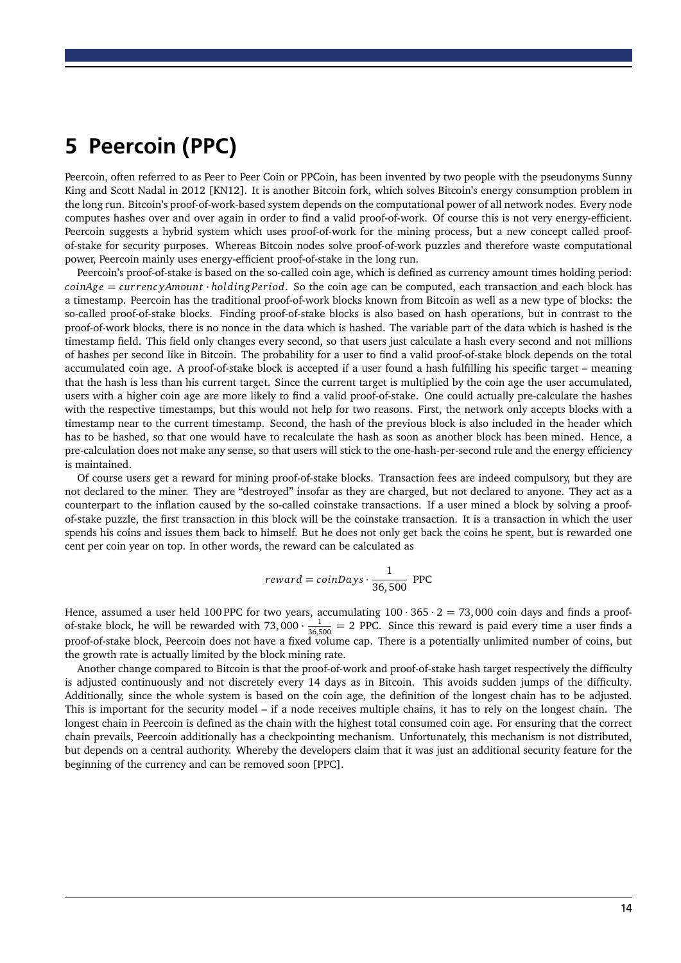# <span id="page-14-0"></span>5 Peercoin (PPC)

Peercoin, often referred to as Peer to Peer Coin or PPCoin, has been invented by two people with the pseudonyms Sunny King and Scott Nadal in 2012 [\[KN12\]](#page-20-15). It is another Bitcoin fork, which solves Bitcoin's energy consumption problem in the long run. Bitcoin's [proof-of-work-](#page-19-1)based system depends on the computational power of all network nodes. Every node computes hashes over and over again in order to find a valid [proof-of-work.](#page-19-1) Of course this is not very energy-efficient. Peercoin suggests a hybrid system which uses [proof-of-work](#page-19-1) for the [mining](#page-18-8) process, but a new concept called proofof-stake for security purposes. Whereas Bitcoin nodes solve [proof-of-work](#page-19-1) puzzles and therefore waste computational power, Peercoin mainly uses energy-efficient proof-of-stake in the long run.

Peercoin's proof-of-stake is based on the so-called coin age, which is defined as currency amount times holding period: *coinAge* = *cur renc yAmount* · *holding Period*. So the coin age can be computed, each [transaction](#page-19-0) and each [block](#page-18-3) has a timestamp. Peercoin has the traditional [proof-of-work](#page-19-1) [blocks](#page-18-3) known from Bitcoin as well as a new type of [blocks:](#page-18-3) the so-called proof-of-stake [blocks.](#page-18-3) Finding proof-of-stake [blocks](#page-18-3) is also based on hash operations, but in contrast to the [proof-of-work](#page-19-1) [blocks,](#page-18-3) there is no [nonce](#page-18-2) in the data which is hashed. The variable part of the data which is hashed is the timestamp field. This field only changes every second, so that users just calculate a hash every second and not millions of hashes per second like in Bitcoin. The probability for a user to find a valid proof-of-stake [block](#page-18-3) depends on the total accumulated coin age. A proof-of-stake [block](#page-18-3) is accepted if a user found a hash fulfilling his specific [target](#page-19-4) – meaning that the hash is less than his current [target.](#page-19-4) Since the current [target](#page-19-4) is multiplied by the coin age the user accumulated, users with a higher coin age are more likely to find a valid proof-of-stake. One could actually pre-calculate the hashes with the respective timestamps, but this would not help for two reasons. First, the network only accepts [blocks](#page-18-3) with a timestamp near to the current timestamp. Second, the hash of the previous [block](#page-18-3) is also included in the header which has to be hashed, so that one would have to recalculate the hash as soon as another block has been mined. Hence, a pre-calculation does not make any sense, so that users will stick to the one-hash-per-second rule and the energy efficiency is maintained.

Of course users get a reward for [mining](#page-18-8) proof-of-stake [blocks.](#page-18-3) [Transaction fees](#page-19-3) are indeed compulsory, but they are not declared to the miner. They are "destroyed" insofar as they are charged, but not declared to anyone. They act as a counterpart to the inflation caused by the so-called coinstake [transactions.](#page-19-0) If a user mined a [block](#page-18-3) by solving a proofof-stake puzzle, the first [transaction](#page-19-0) in this [block](#page-18-3) will be the coinstake [transaction.](#page-19-0) It is a [transaction](#page-19-0) in which the user spends his [coins](#page-18-7) and issues them back to himself. But he does not only get back the [coins](#page-18-7) he spent, but is rewarded one cent per coin year on top. In other words, the reward can be calculated as

$$
reward = coin Days \cdot \frac{1}{36,500} \text{ PPC}
$$

Hence, assumed a user held 100 PPC for two years, accumulating  $100 \cdot 365 \cdot 2 = 73,000$  coin days and finds a proofof-stake [block,](#page-18-3) he will be rewarded with 73,000  $\cdot \frac{1}{36,500} = 2$  PPC. Since this reward is paid every time a user finds a proof-of-stake [block,](#page-18-3) Peercoin does not have a fixed volume cap. There is a potentially unlimited number of [coins,](#page-18-7) but the growth rate is actually limited by the block mining rate.

Another change compared to Bitcoin is that the [proof-of-work](#page-19-1) and proof-of-stake hash [target](#page-19-4) respectively the [difficulty](#page-18-5) is adjusted continuously and not discretely every 14 days as in Bitcoin. This avoids sudden jumps of the [difficulty.](#page-18-5) Additionally, since the whole system is based on the coin age, the definition of the [longest chain](#page-18-9) has to be adjusted. This is important for the security model – if a node receives multiple chains, it has to rely on the [longest chain.](#page-18-9) The [longest chain](#page-18-9) in Peercoin is defined as the chain with the highest total consumed coin age. For ensuring that the correct chain prevails, Peercoin additionally has a checkpointing mechanism. Unfortunately, this mechanism is not distributed, but depends on a central authority. Whereby the developers claim that it was just an additional security feature for the beginning of the currency and can be removed soon [\[PPC\]](#page-20-16).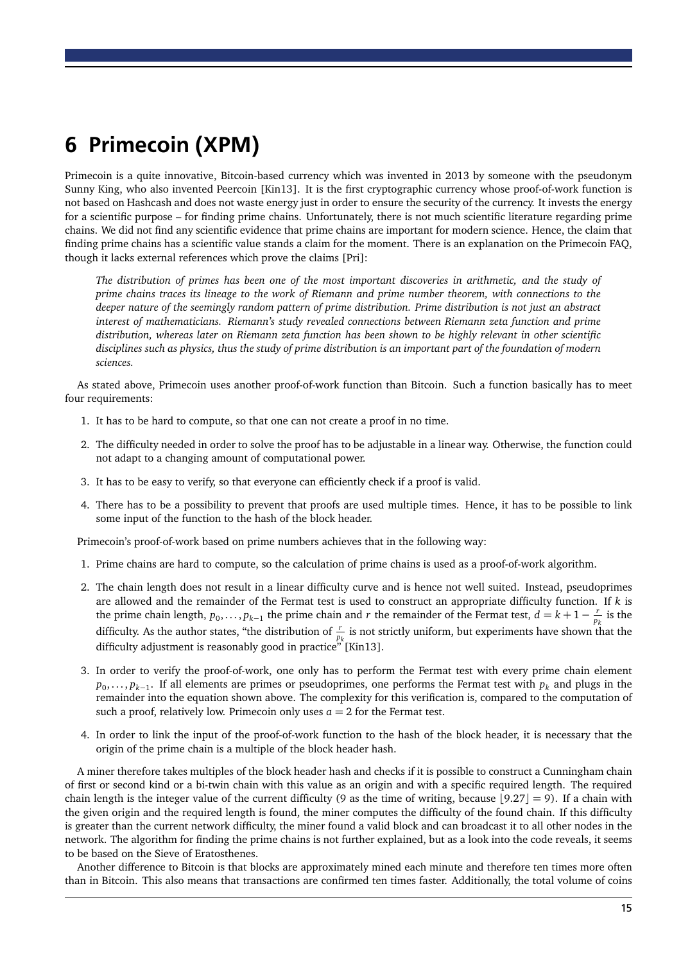# <span id="page-15-0"></span>6 Primecoin (XPM)

Primecoin is a quite innovative, Bitcoin-based currency which was invented in 2013 by someone with the pseudonym Sunny King, who also invented Peercoin [\[Kin13\]](#page-20-17). It is the first cryptographic currency whose [proof-of-work](#page-19-1) function is not based on Hashcash and does not waste energy just in order to ensure the security of the currency. It invests the energy for a scientific purpose – for finding prime chains. Unfortunately, there is not much scientific literature regarding prime chains. We did not find any scientific evidence that prime chains are important for modern science. Hence, the claim that finding prime chains has a scientific value stands a claim for the moment. There is an explanation on the Primecoin FAQ, though it lacks external references which prove the claims [\[Pri\]](#page-20-18):

*The distribution of primes has been one of the most important discoveries in arithmetic, and the study of prime chains traces its lineage to the work of Riemann and prime number theorem, with connections to the deeper nature of the seemingly random pattern of prime distribution. Prime distribution is not just an abstract interest of mathematicians. Riemann's study revealed connections between Riemann zeta function and prime distribution, whereas later on Riemann zeta function has been shown to be highly relevant in other scientific disciplines such as physics, thus the study of prime distribution is an important part of the foundation of modern sciences.*

As stated above, Primecoin uses another [proof-of-work](#page-19-1) function than Bitcoin. Such a function basically has to meet four requirements:

- 1. It has to be hard to compute, so that one can not create a proof in no time.
- 2. The difficulty needed in order to solve the proof has to be adjustable in a linear way. Otherwise, the function could not adapt to a changing amount of computational power.
- 3. It has to be easy to verify, so that everyone can efficiently check if a proof is valid.
- 4. There has to be a possibility to prevent that proofs are used multiple times. Hence, it has to be possible to link some input of the function to the hash of the block header.

Primecoin's [proof-of-work](#page-19-1) based on prime numbers achieves that in the following way:

- 1. Prime chains are hard to compute, so the calculation of prime chains is used as a [proof-of-work](#page-19-1) algorithm.
- 2. The chain length does not result in a linear difficulty curve and is hence not well suited. Instead, pseudoprimes are allowed and the remainder of the Fermat test is used to construct an appropriate difficulty function. If *k* is the prime chain length,  $p_0, \ldots, p_{k-1}$  the prime chain and *r* the remainder of the Fermat test,  $d = k + 1 - \frac{r}{n}$  $\frac{r}{p_k}$  is the difficulty. As the author states, "the distribution of  $\frac{r}{p_k}$  is not strictly uniform, but experiments have shown that the difficulty adjustment is reasonably good in practice" [\[Kin13\]](#page-20-17).
- 3. In order to verify the [proof-of-work,](#page-19-1) one only has to perform the Fermat test with every prime chain element *p*0 , . . . , *pk*−<sup>1</sup> . If all elements are primes or pseudoprimes, one performs the Fermat test with *p<sup>k</sup>* and plugs in the remainder into the equation shown above. The complexity for this verification is, compared to the computation of such a proof, relatively low. Primecoin only uses  $a = 2$  for the Fermat test.
- 4. In order to link the input of the [proof-of-work](#page-19-1) function to the hash of the block header, it is necessary that the origin of the prime chain is a multiple of the block header hash.

A miner therefore takes multiples of the block header hash and checks if it is possible to construct a Cunningham chain of first or second kind or a bi-twin chain with this value as an origin and with a specific required length. The required chain length is the integer value of the current difficulty (9 as the time of writing, because  $|9.27| = 9$ ). If a chain with the given origin and the required length is found, the miner computes the difficulty of the found chain. If this difficulty is greater than the current network difficulty, the miner found a valid block and can broadcast it to all other nodes in the network. The algorithm for finding the prime chains is not further explained, but as a look into the code reveals, it seems to be based on the Sieve of Eratosthenes.

Another difference to Bitcoin is that blocks are approximately mined each minute and therefore ten times more often than in Bitcoin. This also means that transactions are confirmed ten times faster. Additionally, the total volume of coins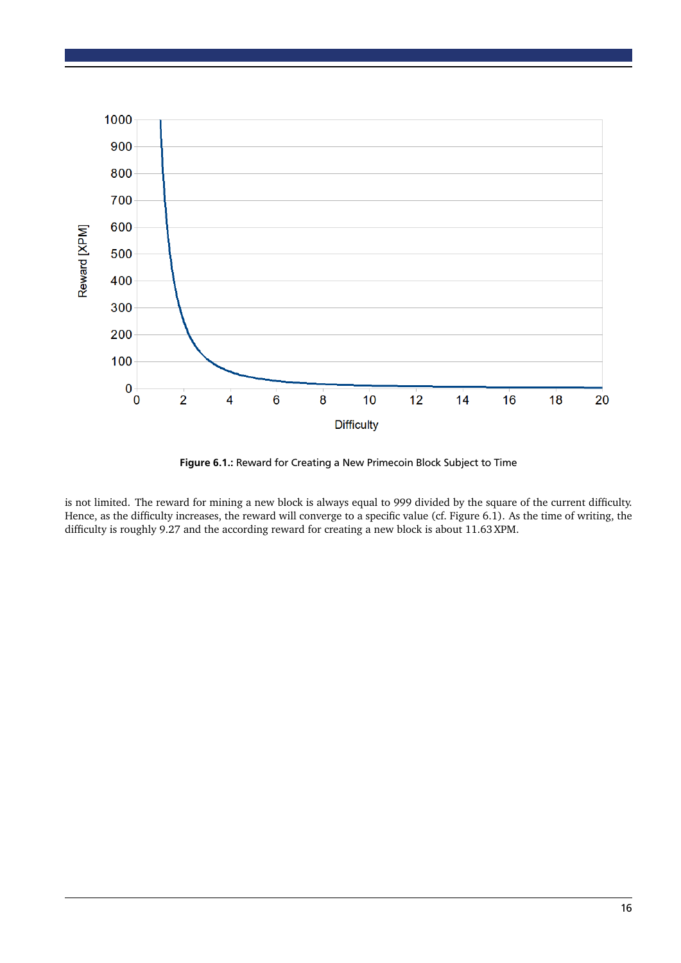

<span id="page-16-0"></span>Figure 6.1.: Reward for Creating a New Primecoin Block Subject to Time

is not limited. The reward for mining a new block is always equal to 999 divided by the square of the current difficulty. Hence, as the difficulty increases, the reward will converge to a specific value (cf. Figure [6.1\)](#page-16-0). As the time of writing, the difficulty is roughly 9.27 and the according reward for creating a new block is about 11.63 XPM.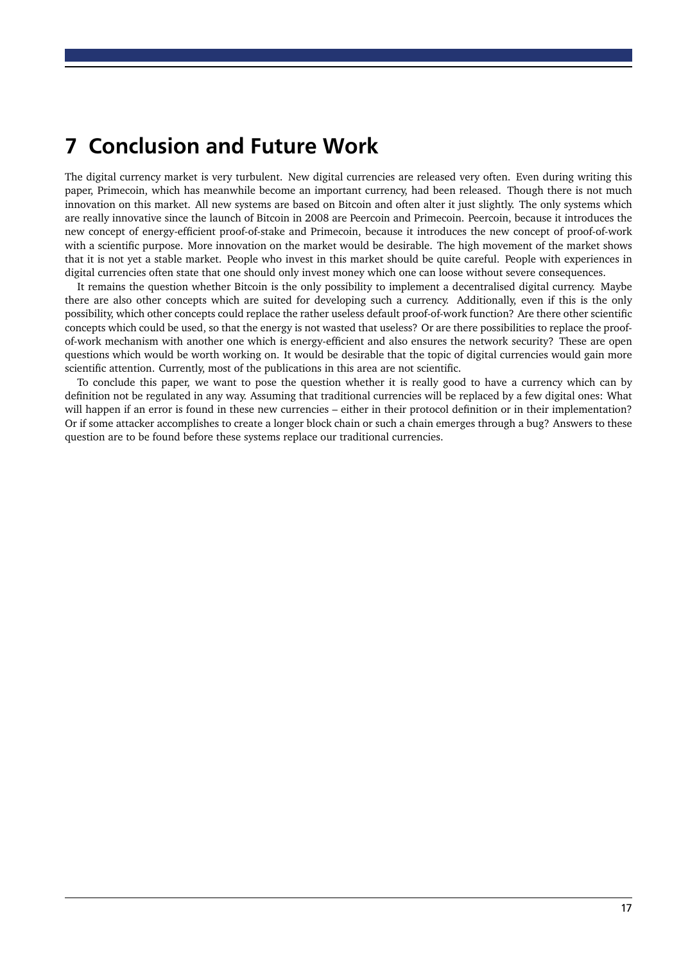### <span id="page-17-0"></span>7 Conclusion and Future Work

The digital currency market is very turbulent. New digital currencies are released very often. Even during writing this paper, Primecoin, which has meanwhile become an important currency, had been released. Though there is not much innovation on this market. All new systems are based on Bitcoin and often alter it just slightly. The only systems which are really innovative since the launch of Bitcoin in 2008 are Peercoin and Primecoin. Peercoin, because it introduces the new concept of energy-efficient proof-of-stake and Primecoin, because it introduces the new concept of [proof-of-work](#page-19-1) with a scientific purpose. More innovation on the market would be desirable. The high movement of the market shows that it is not yet a stable market. People who invest in this market should be quite careful. People with experiences in digital currencies often state that one should only invest money which one can loose without severe consequences.

It remains the question whether Bitcoin is the only possibility to implement a decentralised digital currency. Maybe there are also other concepts which are suited for developing such a currency. Additionally, even if this is the only possibility, which other concepts could replace the rather useless default [proof-of-work](#page-19-1) function? Are there other scientific concepts which could be used, so that the energy is not wasted that useless? Or are there possibilities to replace the [proof](#page-19-1)[of-work](#page-19-1) mechanism with another one which is energy-efficient and also ensures the network security? These are open questions which would be worth working on. It would be desirable that the topic of digital currencies would gain more scientific attention. Currently, most of the publications in this area are not scientific.

To conclude this paper, we want to pose the question whether it is really good to have a currency which can by definition not be regulated in any way. Assuming that traditional currencies will be replaced by a few digital ones: What will happen if an error is found in these new currencies – either in their protocol definition or in their implementation? Or if some attacker accomplishes to create a longer block chain or such a chain emerges through a bug? Answers to these question are to be found before these systems replace our traditional currencies.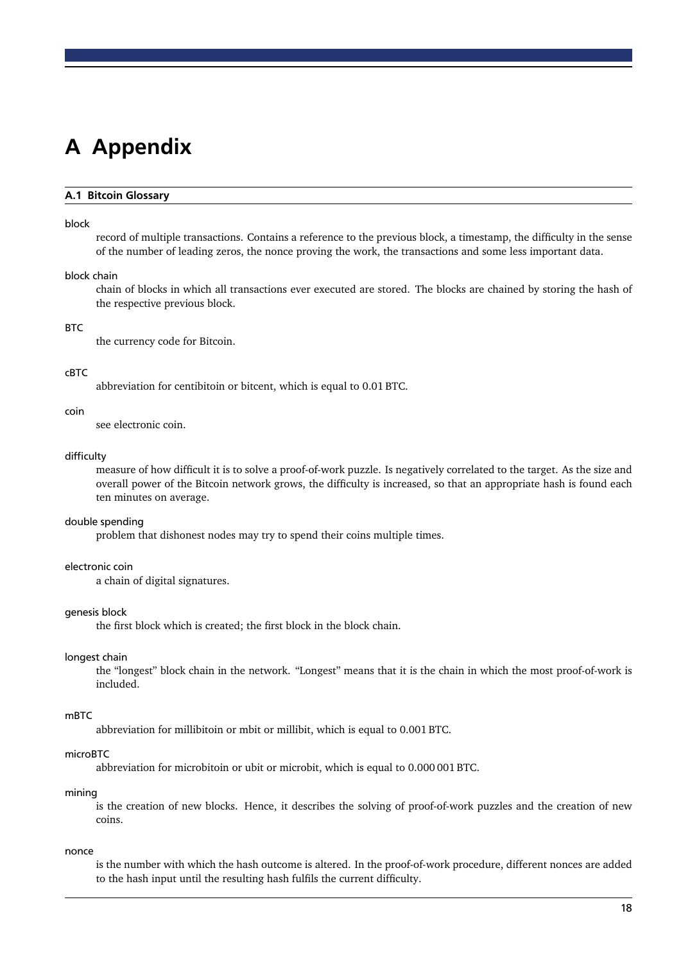# <span id="page-18-0"></span>A Appendix

#### <span id="page-18-1"></span>A.1 Bitcoin Glossary

#### <span id="page-18-3"></span>block

record of multiple [transactions.](#page-19-0) Contains a reference to the previous block, a timestamp, the [difficulty](#page-18-5) in the sense of the number of leading zeros, the [nonce](#page-18-2) proving the work, the [transactions](#page-19-0) and some less important data.

#### <span id="page-18-4"></span>block chain

chain of [blocks](#page-18-3) in which all [transactions](#page-19-0) ever executed are stored. The [blocks](#page-18-3) are chained by storing the hash of the respective previous [block.](#page-18-3)

#### **BTC**

the currency code for Bitcoin.

#### cBTC

abbreviation for centibitoin or bitcent, which is equal to 0.01 BTC.

#### <span id="page-18-7"></span>coin

see [electronic coin.](#page-18-11)

#### <span id="page-18-5"></span>difficulty

measure of how difficult it is to solve a [proof-of-work](#page-19-1) puzzle. Is negatively correlated to the [target.](#page-19-4) As the size and overall power of the Bitcoin network grows, the difficulty is increased, so that an appropriate hash is found each ten minutes on average.

#### <span id="page-18-10"></span>double spending

problem that dishonest nodes may try to spend their [coins](#page-18-7) multiple times.

#### <span id="page-18-11"></span>electronic coin

a chain of digital signatures.

#### <span id="page-18-6"></span>genesis block

the first [block](#page-18-3) which is created; the first [block](#page-18-3) in the [block chain.](#page-18-4)

#### <span id="page-18-9"></span>longest chain

the "longest" [block chain](#page-18-4) in the network. "Longest" means that it is the chain in which the most [proof-of-work](#page-19-1) is included.

#### mBTC

abbreviation for millibitoin or mbit or millibit, which is equal to 0.001 BTC.

#### microBTC

abbreviation for microbitoin or ubit or microbit, which is equal to 0.000 001 BTC.

#### <span id="page-18-8"></span>mining

is the creation of new [blocks.](#page-18-3) Hence, it describes the solving of [proof-of-work](#page-19-1) puzzles and the creation of new [coins.](#page-18-7)

#### <span id="page-18-2"></span>nonce

is the number with which the hash outcome is altered. In the [proof-of-work](#page-19-1) procedure, different nonces are added to the hash input until the resulting hash fulfils the current [difficulty.](#page-18-5)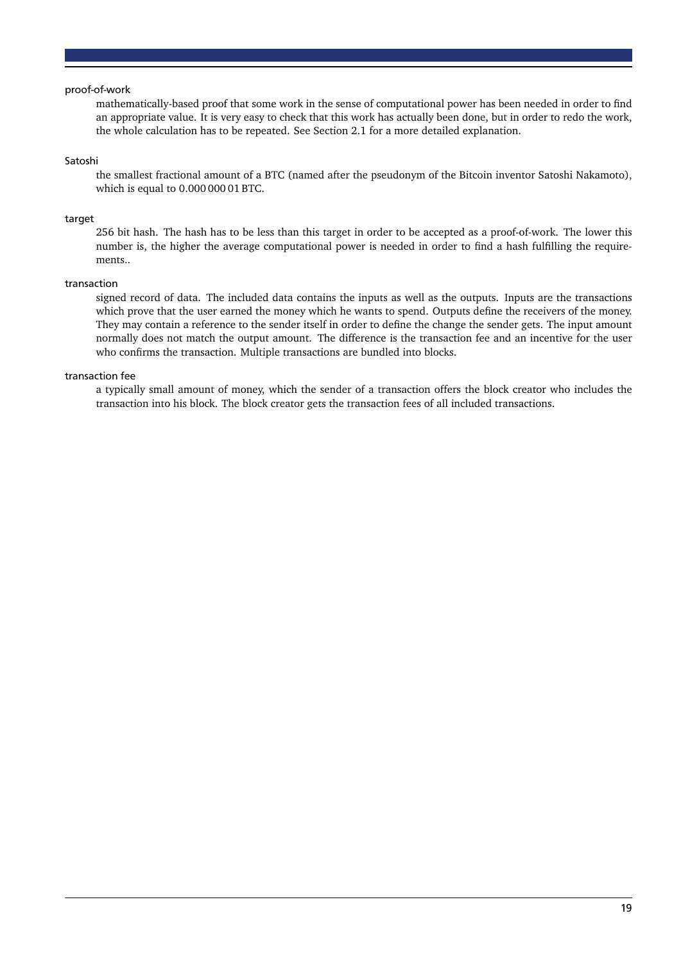#### <span id="page-19-1"></span>proof-of-work

mathematically-based proof that some work in the sense of computational power has been needed in order to find an appropriate value. It is very easy to check that this work has actually been done, but in order to redo the work, the whole calculation has to be repeated. See Section [2.1](#page-6-1) for a more detailed explanation.

#### <span id="page-19-2"></span>Satoshi

the smallest fractional amount of a BTC (named after the pseudonym of the Bitcoin inventor Satoshi Nakamoto), which is equal to 0.000 000 01 BTC.

#### <span id="page-19-4"></span>target

256 bit hash. The hash has to be less than this target in order to be accepted as a [proof-of-work.](#page-19-1) The lower this number is, the higher the average computational power is needed in order to find a hash fulfilling the requirements..

#### <span id="page-19-0"></span>transaction

signed record of data. The included data contains the inputs as well as the outputs. Inputs are the transactions which prove that the user earned the money which he wants to spend. Outputs define the receivers of the money. They may contain a reference to the sender itself in order to define the change the sender gets. The input amount normally does not match the output amount. The difference is the [transaction fee](#page-19-3) and an incentive for the user who confirms the transaction. Multiple transactions are bundled into [blocks.](#page-18-3)

#### <span id="page-19-3"></span>transaction fee

a typically small amount of money, which the sender of a [transaction](#page-19-0) offers the block creator who includes the [transaction](#page-19-0) into his [block.](#page-18-3) The block creator gets the transaction fees of all included [transactions.](#page-19-0)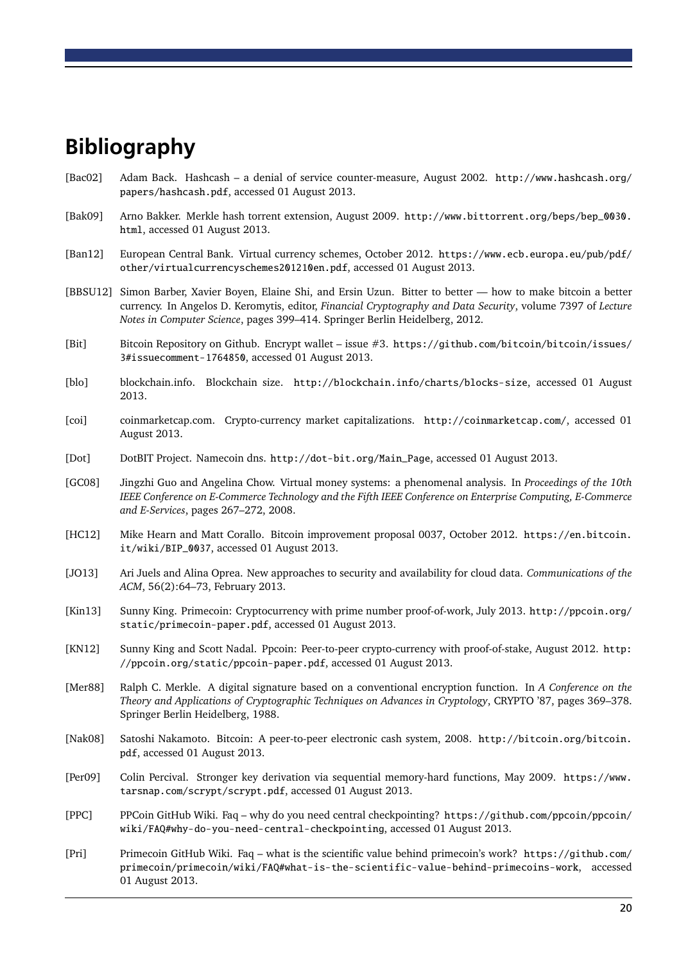### <span id="page-20-0"></span>Bibliography

- <span id="page-20-5"></span>[Bac02] Adam Back. Hashcash – a denial of service counter-measure, August 2002. [http://www.hashcash.org/](http://www.hashcash.org/papers/hashcash.pdf) [papers/hashcash.pdf](http://www.hashcash.org/papers/hashcash.pdf), accessed 01 August 2013.
- <span id="page-20-6"></span>[Bak09] Arno Bakker. Merkle hash torrent extension, August 2009. [http://www.bittorrent.org/beps/bep\\_0030.](http://www.bittorrent.org/beps/bep_0030.html) [html](http://www.bittorrent.org/beps/bep_0030.html), accessed 01 August 2013.
- <span id="page-20-2"></span>[Ban12] European Central Bank. Virtual currency schemes, October 2012. [https://www.ecb.europa.eu/pub/pdf/](https://www.ecb.europa.eu/pub/pdf/other/virtualcurrencyschemes201210en.pdf) [other/virtualcurrencyschemes201210en.pdf](https://www.ecb.europa.eu/pub/pdf/other/virtualcurrencyschemes201210en.pdf), accessed 01 August 2013.
- <span id="page-20-11"></span>[BBSU12] Simon Barber, Xavier Boyen, Elaine Shi, and Ersin Uzun. Bitter to better — how to make bitcoin a better currency. In Angelos D. Keromytis, editor, *Financial Cryptography and Data Security*, volume 7397 of *Lecture Notes in Computer Science*, pages 399–414. Springer Berlin Heidelberg, 2012.
- <span id="page-20-12"></span>[Bit] Bitcoin Repository on Github. Encrypt wallet – issue #3. [https://github.com/bitcoin/bitcoin/issues/](https://github.com/bitcoin/bitcoin/issues/3#issuecomment-1764850) [3#issuecomment-1764850](https://github.com/bitcoin/bitcoin/issues/3#issuecomment-1764850), accessed 01 August 2013.
- <span id="page-20-10"></span>[blo] blockchain.info. Blockchain size. <http://blockchain.info/charts/blocks-size>, accessed 01 August 2013.
- <span id="page-20-3"></span>[coi] coinmarketcap.com. Crypto-currency market capitalizations. <http://coinmarketcap.com/>, accessed 01 August 2013.
- <span id="page-20-4"></span>[Dot] DotBIT Project. Namecoin dns. [http://dot-bit.org/Main\\_Page](http://dot-bit.org/Main_Page), accessed 01 August 2013.
- <span id="page-20-1"></span>[GC08] Jingzhi Guo and Angelina Chow. Virtual money systems: a phenomenal analysis. In *Proceedings of the 10th IEEE Conference on E-Commerce Technology and the Fifth IEEE Conference on Enterprise Computing, E-Commerce and E-Services*, pages 267–272, 2008.
- <span id="page-20-13"></span>[HC12] Mike Hearn and Matt Corallo. Bitcoin improvement proposal 0037, October 2012. [https://en.bitcoin.](https://en.bitcoin.it/wiki/BIP_0037) [it/wiki/BIP\\_0037](https://en.bitcoin.it/wiki/BIP_0037), accessed 01 August 2013.
- <span id="page-20-7"></span>[JO13] Ari Juels and Alina Oprea. New approaches to security and availability for cloud data. *Communications of the ACM*, 56(2):64–73, February 2013.
- <span id="page-20-17"></span>[Kin13] Sunny King. Primecoin: Cryptocurrency with prime number proof-of-work, July 2013. [http://ppcoin.org/](http://ppcoin.org/static/primecoin-paper.pdf) [static/primecoin-paper.pdf](http://ppcoin.org/static/primecoin-paper.pdf), accessed 01 August 2013.
- <span id="page-20-15"></span>[KN12] Sunny King and Scott Nadal. Ppcoin: Peer-to-peer crypto-currency with proof-of-stake, August 2012. [http:](http://ppcoin.org/static/ppcoin-paper.pdf) [//ppcoin.org/static/ppcoin-paper.pdf](http://ppcoin.org/static/ppcoin-paper.pdf), accessed 01 August 2013.
- <span id="page-20-9"></span>[Mer88] Ralph C. Merkle. A digital signature based on a conventional encryption function. In *A Conference on the Theory and Applications of Cryptographic Techniques on Advances in Cryptology*, CRYPTO '87, pages 369–378. Springer Berlin Heidelberg, 1988.
- <span id="page-20-8"></span>[Nak08] Satoshi Nakamoto. Bitcoin: A peer-to-peer electronic cash system, 2008. [http://bitcoin.org/bitcoin.](http://bitcoin.org/bitcoin.pdf) [pdf](http://bitcoin.org/bitcoin.pdf), accessed 01 August 2013.
- <span id="page-20-14"></span>[Per09] Colin Percival. Stronger key derivation via sequential memory-hard functions, May 2009. [https://www.](https://www.tarsnap.com/scrypt/scrypt.pdf) [tarsnap.com/scrypt/scrypt.pdf](https://www.tarsnap.com/scrypt/scrypt.pdf), accessed 01 August 2013.
- <span id="page-20-16"></span>[PPC] PPCoin GitHub Wiki. Faq – why do you need central checkpointing? [https://github.com/ppcoin/ppcoin/](https://github.com/ppcoin/ppcoin/wiki/FAQ#why-do-you-need-central-checkpointing) [wiki/FAQ#why-do-you-need-central-checkpointing](https://github.com/ppcoin/ppcoin/wiki/FAQ#why-do-you-need-central-checkpointing), accessed 01 August 2013.
- <span id="page-20-18"></span>[Pri] Primecoin GitHub Wiki. Faq – what is the scientific value behind primecoin's work? [https://github.com/](https://github.com/primecoin/primecoin/wiki/FAQ#what-is-the-scientific-value-behind-primecoins-work) [primecoin/primecoin/wiki/FAQ#what-is-the-scientific-value-behind-primecoins-work](https://github.com/primecoin/primecoin/wiki/FAQ#what-is-the-scientific-value-behind-primecoins-work), accessed 01 August 2013.